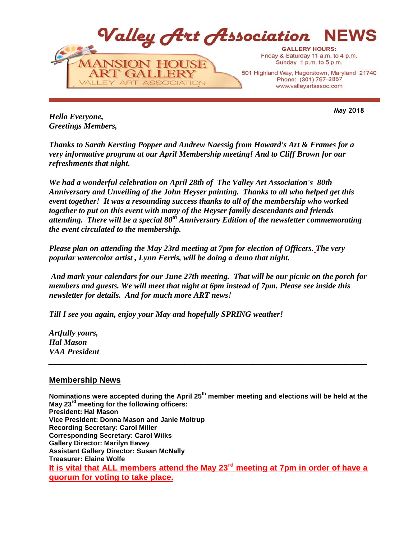

**May 2018**

*Hello Everyone, Greetings Members,*

*Thanks to Sarah Kersting Popper and Andrew Naessig from Howard's Art & Frames for a very informative program at our April Membership meeting! And to Cliff Brown for our refreshments that night.*

*We had a wonderful celebration on April 28th of The Valley Art Association's 80th Anniversary and Unveiling of the John Heyser painting. Thanks to all who helped get this event together! It was a resounding success thanks to all of the membership who worked together to put on this event with many of the Heyser family descendants and friends attending. There will be a special 80th Anniversary Edition of the newsletter commemorating the event circulated to the membership.*

*Please plan on attending the May 23rd meeting at 7pm for election of Officers. The very popular watercolor artist , Lynn Ferris, will be doing a demo that night.*

*And mark your calendars for our June 27th meeting. That will be our picnic on the porch for members and guests. We will meet that night at 6pm instead of 7pm. Please see inside this newsletter for details. And for much more ART news!* 

*\_\_\_\_\_\_\_\_\_\_\_\_\_\_\_\_\_\_\_\_\_\_\_\_\_\_\_\_\_\_\_\_\_\_\_\_\_\_\_\_\_\_\_\_\_\_\_\_\_\_\_\_\_\_\_\_\_\_\_\_\_\_\_\_\_\_\_\_\_\_\_\_\_\_\_\_\_\_*

*Till I see you again, enjoy your May and hopefully SPRING weather!*

*Artfully yours, Hal Mason VAA President*

# **Membership News**

**Nominations were accepted during the April 25th member meeting and elections will be held at the May 23rd meeting for the following officers: President: Hal Mason Vice President: Donna Mason and Janie Moltrup Recording Secretary: Carol Miller Corresponding Secretary: Carol Wilks Gallery Director: Marilyn Eavey Assistant Gallery Director: Susan McNally Treasurer: Elaine Wolfe It is vital that ALL members attend the May 23rd meeting at 7pm in order of have a quorum for voting to take place.**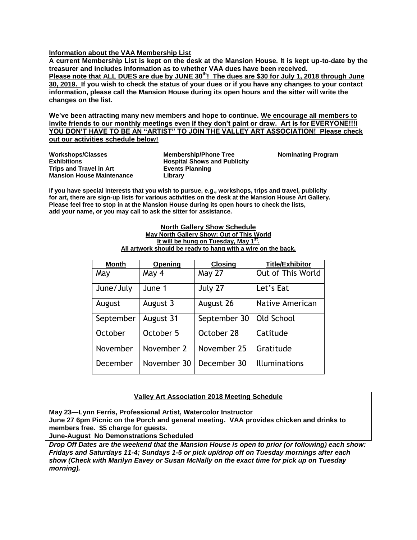## **Information about the VAA Membership List**

**A current Membership List is kept on the desk at the Mansion House. It is kept up-to-date by the treasurer and includes information as to whether VAA dues have been received. Please note that ALL DUES are due by JUNE 30th! The dues are \$30 for July 1, 2018 through June 30, 2019. If you wish to check the status of your dues or if you have any changes to your contact information, please call the Mansion House during its open hours and the sitter will write the changes on the list.**

**We've been attracting many new members and hope to continue. We encourage all members to invite friends to our monthly meetings even if they don't paint or draw. Art is for EVERYONE!!!I**  YOU DON'T HAVE TO BE AN "ARTIST" TO JOIN THE VALLEY ART ASSOCIATION! Please check **out our activities schedule below!**

**Workshops/Classes Exhibitions Trips and Travel in Art Mansion House Maintenance** **Membership/Phone Tree Hospital Shows and Publicity Events Planning Library**

**Nominating Program**

**If you have special interests that you wish to pursue, e.g., workshops, trips and travel, publicity for art, there are sign-up lists for various activities on the desk at the Mansion House Art Gallery. Please feel free to stop in at the Mansion House during its open hours to check the lists, add your name, or you may call to ask the sitter for assistance.**

#### **North Gallery Show Schedule May North Gallery Show: Out of This World It will be hung on Tuesday, May 1st . All artwork should be ready to hang with a wire on the back.**

| <b>Month</b> | Opening     | <b>Closing</b> | <b>Title/Exhibitor</b>   |
|--------------|-------------|----------------|--------------------------|
| May          | May 4       | <b>May 27</b>  | <b>Out of This World</b> |
| June/July    | June 1      | July 27        | Let's Eat                |
| August       | August 3    | August 26      | Native American          |
| September    | August 31   | September 30   | Old School               |
| October      | October 5   | October 28     | Catitude                 |
| November     | November 2  | November 25    | Gratitude                |
| December     | November 30 | December 30    | <b>Illuminations</b>     |

## **Valley Art Association 2018 Meeting Schedule**

**May 23—Lynn Ferris, Professional Artist, Watercolor Instructor**

**June 27 6pm Picnic on the Porch and general meeting. VAA provides chicken and drinks to members free. \$5 charge for guests.**

**June-August No Demonstrations Scheduled**

*Drop Off Dates are the weekend that the Mansion House is open to prior (or following) each show: Fridays and Saturdays 11-4; Sundays 1-5 or pick up/drop off on Tuesday mornings after each show (Check with Marilyn Eavey or Susan McNally on the exact time for pick up on Tuesday morning).*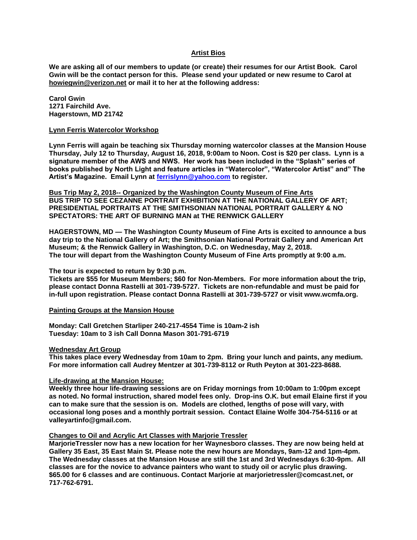## **Artist Bios**

**We are asking all of our members to update (or create) their resumes for our Artist Book. Carol Gwin will be the contact person for this. Please send your updated or new resume to Carol at howiegwin@verizon.net or mail it to her at the following address:**

**Carol Gwin 1271 Fairchild Ave. Hagerstown, MD 21742**

#### **Lynn Ferris Watercolor Workshop**

**Lynn Ferris will again be teaching six Thursday morning watercolor classes at the Mansion House Thursday, July 12 to Thursday, August 16, 2018, 9:00am to Noon. Cost is \$20 per class. Lynn is a signature member of the AWS and NWS. Her work has been included in the "Splash" series of books published by North Light and feature articles in "Watercolor", "Watercolor Artist" and" The Artist's Magazine. Email Lynn at [ferrislynn@yahoo.com](mailto:ferrislynn@yahoo.com) to register.**

**Bus Trip May 2, 2018-- Organized by the Washington County Museum of Fine Arts BUS TRIP TO SEE CEZANNE PORTRAIT EXHIBITION AT THE NATIONAL GALLERY OF ART; PRESIDENTIAL PORTRAITS AT THE SMITHSONIAN NATIONAL PORTRAIT GALLERY & NO SPECTATORS: THE ART OF BURNING MAN at THE RENWICK GALLERY**

**HAGERSTOWN, MD — The Washington County Museum of Fine Arts is excited to announce a bus day trip to the National Gallery of Art; the Smithsonian National Portrait Gallery and American Art Museum; & the Renwick Gallery in Washington, D.C. on Wednesday, May 2, 2018. The tour will depart from the Washington County Museum of Fine Arts promptly at 9:00 a.m.** 

## **The tour is expected to return by 9:30 p.m.**

**Tickets are \$55 for Museum Members; \$60 for Non-Members. For more information about the trip, please contact Donna Rastelli at 301-739-5727. Tickets are non-refundable and must be paid for in-full upon registration. Please contact Donna Rastelli at 301-739-5727 or visit www.wcmfa.org.**

**Painting Groups at the Mansion House**

**Monday: Call Gretchen Starliper 240-217-4554 Time is 10am-2 ish Tuesday: 10am to 3 ish Call Donna Mason 301-791-6719**

#### **Wednesday Art Group**

**This takes place every Wednesday from 10am to 2pm. Bring your lunch and paints, any medium. For more information call Audrey Mentzer at 301-739-8112 or Ruth Peyton at 301-223-8688.**

#### **Life-drawing at the Mansion House:**

**Weekly three hour life-drawing sessions are on Friday mornings from 10:00am to 1:00pm except as noted. No formal instruction, shared model fees only. Drop-ins O.K. but email Elaine first if you can to make sure that the session is on. Models are clothed, lengths of pose will vary, with occasional long poses and a monthly portrait session. Contact Elaine Wolfe 304-754-5116 or at valleyartinfo@gmail.com.** 

#### **Changes to Oil and Acrylic Art Classes with Marjorie Tressler**

**MarjorieTressler now has a new location for her Waynesboro classes. They are now being held at Gallery 35 East, 35 East Main St. Please note the new hours are Mondays, 9am-12 and 1pm-4pm. The Wednesday classes at the Mansion House are still the 1st and 3rd Wednesdays 6:30-9pm. All classes are for the novice to advance painters who want to study oil or acrylic plus drawing. \$65.00 for 6 classes and are continuous. Contact Marjorie at marjorietressler@comcast.net, or 717-762-6791.**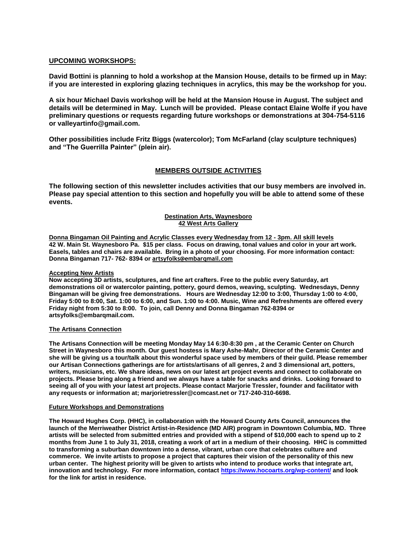## **UPCOMING WORKSHOPS:**

**David Bottini is planning to hold a workshop at the Mansion House, details to be firmed up in May: if you are interested in exploring glazing techniques in acrylics, this may be the workshop for you.**

**A six hour Michael Davis workshop will be held at the Mansion House in August. The subject and details will be determined in May. Lunch will be provided. Please contact Elaine Wolfe if you have preliminary questions or requests regarding future workshops or demonstrations at 304-754-5116 or valleyartinfo@gmail.com.**

**Other possibilities include Fritz Biggs (watercolor); Tom McFarland (clay sculpture techniques) and "The Guerrilla Painter" (plein air).**

## **MEMBERS OUTSIDE ACTIVITIES**

**The following section of this newsletter includes activities that our busy members are involved in. Please pay special attention to this section and hopefully you will be able to attend some of these events.**

#### **Destination Arts, Waynesboro 42 West Arts Gallery**

**Donna Bingaman Oil Painting and Acrylic Classes every Wednesday from 12 - 3pm. All skill levels 42 W. Main St. Waynesboro Pa. \$15 per class. Focus on drawing, tonal values and color in your art work. Easels, tables and chairs are available. Bring in a photo of your choosing. For more information contact: Donna Bingaman 717- 762- 8394 or artsyfolks@embarqmail.com**

#### **Accepting New Artists**

**Now accepting 3D artists, sculptures, and fine art crafters. Free to the public every Saturday, art demonstrations oil or watercolor painting, pottery, gourd demos, weaving, sculpting. Wednesdays, Denny Bingaman will be giving free demonstrations. Hours are Wednesday 12:00 to 3:00, Thursday 1:00 to 4:00, Friday 5:00 to 8:00, Sat. 1:00 to 6:00, and Sun. 1:00 to 4:00. Music, Wine and Refreshments are offered every Friday night from 5:30 to 8:00. To join, call Denny and Donna Bingaman 762-8394 or artsyfolks@embarqmail.com.** 

#### **The Artisans Connection**

**The Artisans Connection will be meeting Monday May 14 6:30-8:30 pm , at the Ceramic Center on Church Street in Waynesboro this month. Our guest hostess is Mary Ashe-Mahr, Director of the Ceramic Center and she will be giving us a tour/talk about this wonderful space used by members of their guild. Please remember our Artisan Connections gatherings are for artists/artisans of all genres, 2 and 3 dimensional art, potters, writers, musicians, etc. We share ideas, news on our latest art project events and connect to collaborate on projects. Please bring along a friend and we always have a table for snacks and drinks. Looking forward to seeing all of you with your latest art projects. Please contact Marjorie Tressler, founder and facilitator with any requests or information at; marjorietressler@comcast.net or 717-240-310-6698.**

#### **Future Workshops and Demonstrations**

**The Howard Hughes Corp. (HHC), in collaboration with the Howard County Arts Council, announces the launch of the Merriweather District Artist-in-Residence (MD AIR) program in Downtown Columbia, MD. Three artists will be selected from submitted entries and provided with a stipend of \$10,000 each to spend up to 2 months from June 1 to July 31, 2018, creating a work of art in a medium of their choosing. HHC is committed to transforming a suburban downtown into a dense, vibrant, urban core that celebrates culture and commerce. We invite artists to propose a project that captures their vision of the personality of this new urban center. The highest priority will be given to artists who intend to produce works that integrate art, innovation and technology. For more information, contact<https://www.hocoarts.org/wp-content/> and look for the link for artist in residence.**